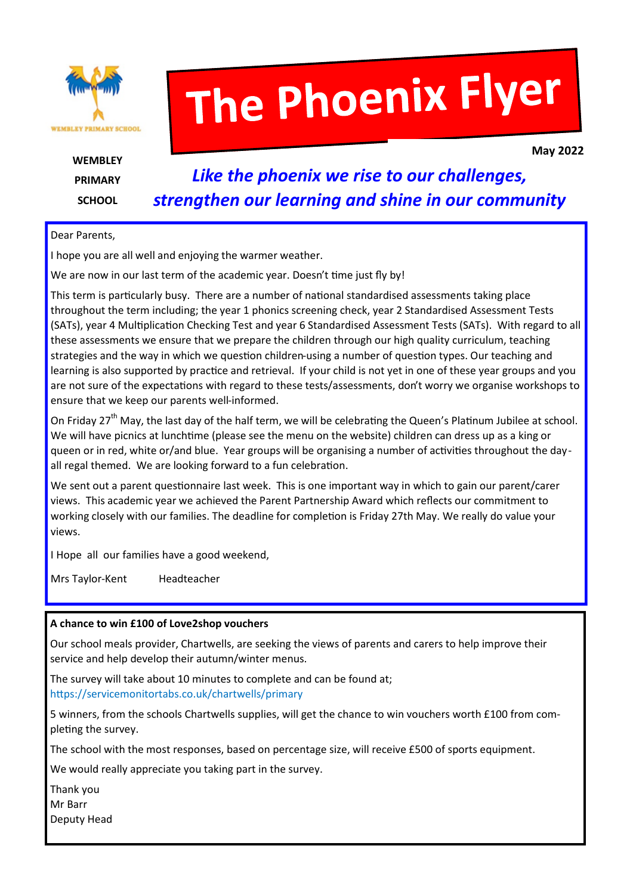

# The Phoenix Flyer

**WEMBLEY PRIMARY SCHOOL** 

**May 2022**

# *Like the phoenix we rise to our challenges, strengthen our learning and shine in our community*

#### Dear Parents,

I hope you are all well and enjoying the warmer weather.

We are now in our last term of the academic year. Doesn't time just fly by!

This term is particularly busy. There are a number of national standardised assessments taking place throughout the term including; the year 1 phonics screening check, year 2 Standardised Assessment Tests (SATs), year 4 Multiplication Checking Test and year 6 Standardised Assessment Tests (SATs). With regard to all these assessments we ensure that we prepare the children through our high quality curriculum, teaching strategies and the way in which we question children-using a number of question types. Our teaching and learning is also supported by practice and retrieval. If your child is not yet in one of these year groups and you are not sure of the expectations with regard to these tests/assessments, don't worry we organise workshops to ensure that we keep our parents well-informed.

On Friday 27<sup>th</sup> May, the last day of the half term, we will be celebrating the Queen's Platinum Jubilee at school. We will have picnics at lunchtime (please see the menu on the website) children can dress up as a king or queen or in red, white or/and blue. Year groups will be organising a number of activities throughout the day all regal themed. We are looking forward to a fun celebration.

We sent out a parent questionnaire last week. This is one important way in which to gain our parent/carer views. This academic year we achieved the Parent Partnership Award which reflects our commitment to working closely with our families. The deadline for completion is Friday 27th May. We really do value your views.

I Hope all our families have a good weekend,

Mrs Taylor-Kent Headteacher

#### **A chance to win £100 of Love2shop vouchers**

Our school meals provider, Chartwells, are seeking the views of parents and carers to help improve their service and help develop their autumn/winter menus.

The survey will take about 10 minutes to complete and can be found at; https://servicemonitortabs.co.uk/chartwells/primary

5 winners, from the schools Chartwells supplies, will get the chance to win vouchers worth £100 from completing the survey.

The school with the most responses, based on percentage size, will receive £500 of sports equipment.

We would really appreciate you taking part in the survey.

Thank you Mr Barr Deputy Head